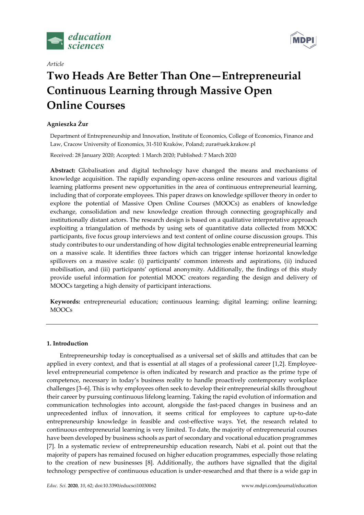

Article



# Two Heads Are Better Than One—Entrepreneurial Continuous Learning through Massive Open Online Courses

# Agnieszka Żur

Department of Entrepreneurship and Innovation, Institute of Economics, College of Economics, Finance and Law, Cracow University of Economics, 31-510 Kraków, Poland; zura@uek.krakow.pl

Received: 28 January 2020; Accepted: 1 March 2020; Published: 7 March 2020

Abstract: Globalisation and digital technology have changed the means and mechanisms of knowledge acquisition. The rapidly expanding open-access online resources and various digital learning platforms present new opportunities in the area of continuous entrepreneurial learning, including that of corporate employees. This paper draws on knowledge spillover theory in order to explore the potential of Massive Open Online Courses (MOOCs) as enablers of knowledge exchange, consolidation and new knowledge creation through connecting geographically and institutionally distant actors. The research design is based on a qualitative interpretative approach exploiting a triangulation of methods by using sets of quantitative data collected from MOOC participants, five focus group interviews and text content of online course discussion groups. This study contributes to our understanding of how digital technologies enable entrepreneurial learning on a massive scale. It identifies three factors which can trigger intense horizontal knowledge spillovers on a massive scale: (i) participants' common interests and aspirations, (ii) induced mobilisation, and (iii) participants' optional anonymity. Additionally, the findings of this study provide useful information for potential MOOC creators regarding the design and delivery of MOOCs targeting a high density of participant interactions.

Keywords: entrepreneurial education; continuous learning; digital learning; online learning; MOOCs

# 1. Introduction

Entrepreneurship today is conceptualised as a universal set of skills and attitudes that can be applied in every context, and that is essential at all stages of a professional career [1,2]. Employeelevel entrepreneurial competence is often indicated by research and practice as the prime type of competence, necessary in today's business reality to handle proactively contemporary workplace challenges [3–6]. This is why employees often seek to develop their entrepreneurial skills throughout their career by pursuing continuous lifelong learning. Taking the rapid evolution of information and communication technologies into account, alongside the fast-paced changes in business and an unprecedented influx of innovation, it seems critical for employees to capture up-to-date entrepreneurship knowledge in feasible and cost-effective ways. Yet, the research related to continuous entrepreneurial learning is very limited. To date, the majority of entrepreneurial courses have been developed by business schools as part of secondary and vocational education programmes [7]. In a systematic review of entrepreneurship education research, Nabi et al. point out that the majority of papers has remained focused on higher education programmes, especially those relating to the creation of new businesses [8]. Additionally, the authors have signalled that the digital technology perspective of continuous education is under-researched and that there is a wide gap in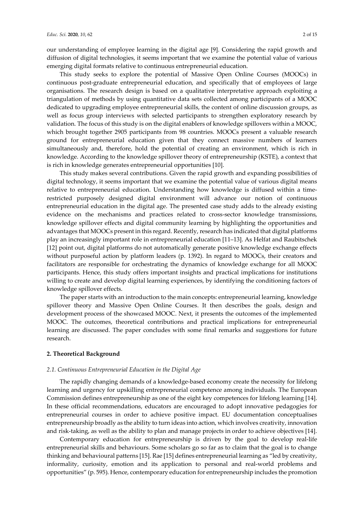our understanding of employee learning in the digital age [9]. Considering the rapid growth and diffusion of digital technologies, it seems important that we examine the potential value of various emerging digital formats relative to continuous entrepreneurial education.

This study seeks to explore the potential of Massive Open Online Courses (MOOCs) in continuous post-graduate entrepreneurial education, and specifically that of employees of large organisations. The research design is based on a qualitative interpretative approach exploiting a triangulation of methods by using quantitative data sets collected among participants of a MOOC dedicated to upgrading employee entrepreneurial skills, the content of online discussion groups, as well as focus group interviews with selected participants to strengthen exploratory research by validation. The focus of this study is on the digital enablers of knowledge spillovers within a MOOC, which brought together 2905 participants from 98 countries. MOOCs present a valuable research ground for entrepreneurial education given that they connect massive numbers of learners simultaneously and, therefore, hold the potential of creating an environment, which is rich in knowledge. According to the knowledge spillover theory of entrepreneurship (KSTE), a context that is rich in knowledge generates entrepreneurial opportunities [10].

This study makes several contributions. Given the rapid growth and expanding possibilities of digital technology, it seems important that we examine the potential value of various digital means relative to entrepreneurial education. Understanding how knowledge is diffused within a timerestricted purposely designed digital environment will advance our notion of continuous entrepreneurial education in the digital age. The presented case study adds to the already existing evidence on the mechanisms and practices related to cross-sector knowledge transmissions, knowledge spillover effects and digital community learning by highlighting the opportunities and advantages that MOOCs present in this regard. Recently, research has indicated that digital platforms play an increasingly important role in entrepreneurial education [11–13]. As Helfat and Raubitschek [12] point out, digital platforms do not automatically generate positive knowledge exchange effects without purposeful action by platform leaders (p. 1392). In regard to MOOCs, their creators and facilitators are responsible for orchestrating the dynamics of knowledge exchange for all MOOC participants. Hence, this study offers important insights and practical implications for institutions willing to create and develop digital learning experiences, by identifying the conditioning factors of knowledge spillover effects.

The paper starts with an introduction to the main concepts: entrepreneurial learning, knowledge spillover theory and Massive Open Online Courses. It then describes the goals, design and development process of the showcased MOOC. Next, it presents the outcomes of the implemented MOOC. The outcomes, theoretical contributions and practical implications for entrepreneurial learning are discussed. The paper concludes with some final remarks and suggestions for future research.

# 2. Theoretical Background

## 2.1. Continuous Entrepreneurial Education in the Digital Age

The rapidly changing demands of a knowledge-based economy create the necessity for lifelong learning and urgency for upskilling entrepreneurial competence among individuals. The European Commission defines entrepreneurship as one of the eight key competences for lifelong learning [14]. In these official recommendations, educators are encouraged to adopt innovative pedagogies for entrepreneurial courses in order to achieve positive impact. EU documentation conceptualises entrepreneurship broadly as the ability to turn ideas into action, which involves creativity, innovation and risk-taking, as well as the ability to plan and manage projects in order to achieve objectives [14].

Contemporary education for entrepreneurship is driven by the goal to develop real-life entrepreneurial skills and behaviours. Some scholars go so far as to claim that the goal is to change thinking and behavioural patterns [15]. Rae [15] defines entrepreneurial learning as "led by creativity, informality, curiosity, emotion and its application to personal and real-world problems and opportunities" (p. 595). Hence, contemporary education for entrepreneurship includes the promotion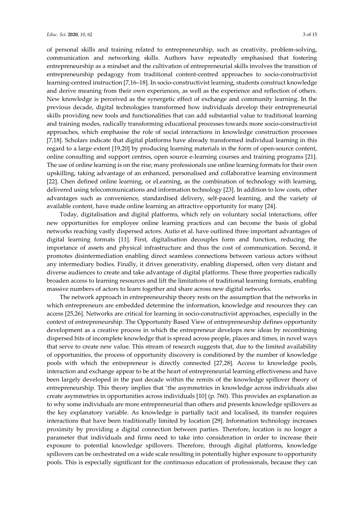of personal skills and training related to entrepreneurship, such as creativity, problem-solving, communication and networking skills. Authors have repeatedly emphasised that fostering entrepreneurship as a mindset and the cultivation of entrepreneurial skills involves the transition of entrepreneurship pedagogy from traditional content-centred approaches to socio-constructivist learning-centred instruction [7,16–18]. In socio-constructivist learning, students construct knowledge and derive meaning from their own experiences, as well as the experience and reflection of others. New knowledge is perceived as the synergetic effect of exchange and community learning. In the previous decade, digital technologies transformed how individuals develop their entrepreneurial skills providing new tools and functionalities that can add substantial value to traditional learning and training modes, radically transforming educational processes towards more socio-constructivist approaches, which emphasise the role of social interactions in knowledge construction processes [7,18]. Scholars indicate that digital platforms have already transformed individual learning in this regard to a large extent [19,20] by producing learning materials in the form of open-source content, online consulting and support centres, open source e-learning courses and training programs [21]. The use of online learning is on the rise; many professionals use online learning formats for their own upskilling, taking advantage of an enhanced, personalised and collaborative learning environment [22]. Chen defined online learning, or eLearning, as the combination of technology with learning, delivered using telecommunications and information technology [23]. In addition to low costs, other advantages such as convenience, standardised delivery, self-paced learning, and the variety of available content, have made online learning an attractive opportunity for many [24].

Today, digitalisation and digital platforms, which rely on voluntary social interactions, offer new opportunities for employee online learning practices and can become the basis of global networks reaching vastly dispersed actors. Autio et al. have outlined three important advantages of digital learning formats [11]. First, digitalisation decouples form and function, reducing the importance of assets and physical infrastructure and thus the cost of communication. Second, it promotes disintermediation enabling direct seamless connections between various actors without any intermediary bodies. Finally, it drives generativity, enabling dispersed, often very distant and diverse audiences to create and take advantage of digital platforms. These three properties radically broaden access to learning resources and lift the limitations of traditional learning formats, enabling massive numbers of actors to learn together and share across new digital networks.

The network approach in entrepreneurship theory rests on the assumption that the networks in which entrepreneurs are embedded determine the information, knowledge and resources they can access [25,26]. Networks are critical for learning in socio-constructivist approaches, especially in the context of entrepreneurship. The Opportunity Based View of entrepreneurship defines opportunity development as a creative process in which the entrepreneur develops new ideas by recombining dispersed bits of incomplete knowledge that is spread across people, places and times, in novel ways that serve to create new value. This stream of research suggests that, due to the limited availability of opportunities, the process of opportunity discovery is conditioned by the number of knowledge pools with which the entrepreneur is directly connected [27,28]. Access to knowledge pools, interaction and exchange appear to be at the heart of entrepreneurial learning effectiveness and have been largely developed in the past decade within the remits of the knowledge spillover theory of entrepreneurship. This theory implies that 'the asymmetries in knowledge across individuals also create asymmetries in opportunities across individuals [10] (p. 760). This provides an explanation as to why some individuals are more entrepreneurial than others and presents knowledge spillovers as the key explanatory variable. As knowledge is partially tacit and localised, its transfer requires interactions that have been traditionally limited by location [29]. Information technology increases proximity by providing a digital connection between parties. Therefore, location is no longer a parameter that individuals and firms need to take into consideration in order to increase their exposure to potential knowledge spillovers. Therefore, through digital platforms, knowledge spillovers can be orchestrated on a wide scale resulting in potentially higher exposure to opportunity pools. This is especially significant for the continuous education of professionals, because they can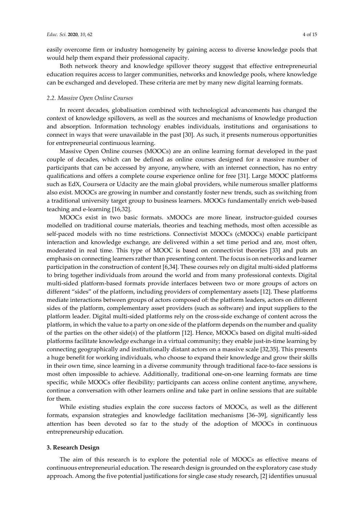easily overcome firm or industry homogeneity by gaining access to diverse knowledge pools that would help them expand their professional capacity.

Both network theory and knowledge spillover theory suggest that effective entrepreneurial education requires access to larger communities, networks and knowledge pools, where knowledge can be exchanged and developed. These criteria are met by many new digital learning formats.

#### 2.2. Massive Open Online Courses

In recent decades, globalisation combined with technological advancements has changed the context of knowledge spillovers, as well as the sources and mechanisms of knowledge production and absorption. Information technology enables individuals, institutions and organisations to connect in ways that were unavailable in the past [30]. As such, it presents numerous opportunities for entrepreneurial continuous learning.

Massive Open Online courses (MOOCs) are an online learning format developed in the past couple of decades, which can be defined as online courses designed for a massive number of participants that can be accessed by anyone, anywhere, with an internet connection, has no entry qualifications and offers a complete course experience online for free [31]. Large MOOC platforms such as EdX, Coursera or Udacity are the main global providers, while numerous smaller platforms also exist. MOOCs are growing in number and constantly foster new trends, such as switching from a traditional university target group to business learners. MOOCs fundamentally enrich web-based teaching and e-learning [16,32].

MOOCs exist in two basic formats. xMOOCs are more linear, instructor-guided courses modelled on traditional course materials, theories and teaching methods, most often accessible as self-paced models with no time restrictions. Connectivist MOOCs (cMOOCs) enable participant interaction and knowledge exchange, are delivered within a set time period and are, most often, moderated in real time. This type of MOOC is based on connectivist theories [33] and puts an emphasis on connecting learners rather than presenting content. The focus is on networks and learner participation in the construction of content [6,34]. These courses rely on digital multi-sided platforms to bring together individuals from around the world and from many professional contexts. Digital multi-sided platform-based formats provide interfaces between two or more groups of actors on different "sides" of the platform, including providers of complementary assets [12]. These platforms mediate interactions between groups of actors composed of: the platform leaders, actors on different sides of the platform, complementary asset providers (such as software) and input suppliers to the platform leader. Digital multi-sided platforms rely on the cross-side exchange of content across the platform, in which the value to a party on one side of the platform depends on the number and quality of the parties on the other side(s) of the platform [12]. Hence, MOOCs based on digital multi-sided platforms facilitate knowledge exchange in a virtual community; they enable just-in-time learning by connecting geographically and institutionally distant actors on a massive scale [32,35]. This presents a huge benefit for working individuals, who choose to expand their knowledge and grow their skills in their own time, since learning in a diverse community through traditional face-to-face sessions is most often impossible to achieve. Additionally, traditional one-on-one learning formats are time specific, while MOOCs offer flexibility; participants can access online content anytime, anywhere, continue a conversation with other learners online and take part in online sessions that are suitable for them.

While existing studies explain the core success factors of MOOCs, as well as the different formats, expansion strategies and knowledge facilitation mechanisms [36–39], significantly less attention has been devoted so far to the study of the adoption of MOOCs in continuous entrepreneurship education.

#### 3. Research Design

The aim of this research is to explore the potential role of MOOCs as effective means of continuous entrepreneurial education. The research design is grounded on the exploratory case study approach. Among the five potential justifications for single case study research, [2] identifies unusual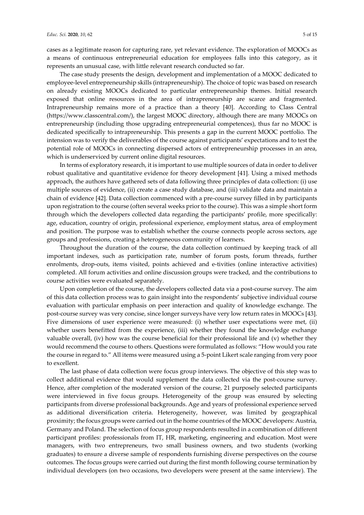cases as a legitimate reason for capturing rare, yet relevant evidence. The exploration of MOOCs as a means of continuous entrepreneurial education for employees falls into this category, as it represents an unusual case, with little relevant research conducted so far.

The case study presents the design, development and implementation of a MOOC dedicated to employee-level entrepreneurship skills (intrapreneurship). The choice of topic was based on research on already existing MOOCs dedicated to particular entrepreneurship themes. Initial research exposed that online resources in the area of intrapreneurship are scarce and fragmented. Intrapreneurship remains more of a practice than a theory [40]. According to Class Central (https://www.classcentral.com/), the largest MOOC directory, although there are many MOOCs on entrepreneurship (including those upgrading entrepreneurial competences), thus far no MOOC is dedicated specifically to intrapreneurship. This presents a gap in the current MOOC portfolio. The intension was to verify the deliverables of the course against participants' expectations and to test the potential role of MOOCs in connecting dispersed actors of entrepreneurship processes in an area, which is underserviced by current online digital resources.

In terms of exploratory research, it is important to use multiple sources of data in order to deliver robust qualitative and quantitative evidence for theory development [41]. Using a mixed methods approach, the authors have gathered sets of data following three principles of data collection: (i) use multiple sources of evidence, (ii) create a case study database, and (iii) validate data and maintain a chain of evidence [42]. Data collection commenced with a pre-course survey filled in by participants upon registration to the course (often several weeks prior to the course). This was a simple short form through which the developers collected data regarding the participants' profile, more specifically: age, education, country of origin, professional experience, employment status, area of employment and position. The purpose was to establish whether the course connects people across sectors, age groups and professions, creating a heterogeneous community of learners.

Throughout the duration of the course, the data collection continued by keeping track of all important indexes, such as participation rate, number of forum posts, forum threads, further enrolments, drop-outs, items visited, points achieved and e-tivities (online interactive activities) completed. All forum activities and online discussion groups were tracked, and the contributions to course activities were evaluated separately.

Upon completion of the course, the developers collected data via a post-course survey. The aim of this data collection process was to gain insight into the respondents' subjective individual course evaluation with particular emphasis on peer interaction and quality of knowledge exchange. The post-course survey was very concise, since longer surveys have very low return rates in MOOCs [43]. Five dimensions of user experience were measured: (i) whether user expectations were met, (ii) whether users benefitted from the experience, (iii) whether they found the knowledge exchange valuable overall, (iv) how was the course beneficial for their professional life and (v) whether they would recommend the course to others. Questions were formulated as follows: "How would you rate the course in regard to." All items were measured using a 5-point Likert scale ranging from very poor to excellent.

The last phase of data collection were focus group interviews. The objective of this step was to collect additional evidence that would supplement the data collected via the post-course survey. Hence, after completion of the moderated version of the course, 21 purposely selected participants were interviewed in five focus groups. Heterogeneity of the group was ensured by selecting participants from diverse professional backgrounds. Age and years of professional experience served as additional diversification criteria. Heterogeneity, however, was limited by geographical proximity; the focus groups were carried out in the home countries of the MOOC developers: Austria, Germany and Poland. The selection of focus group respondents resulted in a combination of different participant profiles: professionals from IT, HR, marketing, engineering and education. Most were managers, with two entrepreneurs, two small business owners, and two students (working graduates) to ensure a diverse sample of respondents furnishing diverse perspectives on the course outcomes. The focus groups were carried out during the first month following course termination by individual developers (on two occasions, two developers were present at the same interview). The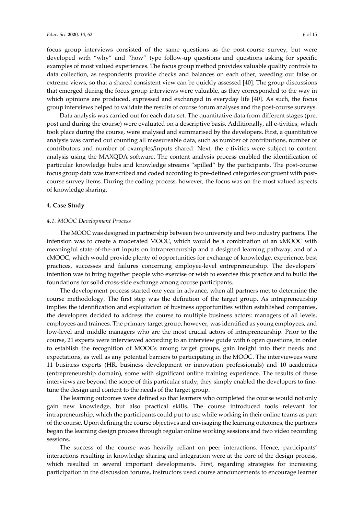focus group interviews consisted of the same questions as the post-course survey, but were developed with "why" and "how" type follow-up questions and questions asking for specific examples of most valued experiences. The focus group method provides valuable quality controls to data collection, as respondents provide checks and balances on each other, weeding out false or extreme views, so that a shared consistent view can be quickly assessed [40]. The group discussions that emerged during the focus group interviews were valuable, as they corresponded to the way in which opinions are produced, expressed and exchanged in everyday life [40]. As such, the focus group interviews helped to validate the results of course forum analyses and the post-course surveys.

Data analysis was carried out for each data set. The quantitative data from different stages (pre, post and during the course) were evaluated on a descriptive basis. Additionally, all e-tivities, which took place during the course, were analysed and summarised by the developers. First, a quantitative analysis was carried out counting all measureable data, such as number of contributions, number of contributors and number of examples/inputs shared. Next, the e-tivities were subject to content analysis using the MAXQDA software. The content analysis process enabled the identification of particular knowledge hubs and knowledge streams "spilled" by the participants. The post-course focus group data was transcribed and coded according to pre-defined categories congruent with postcourse survey items. During the coding process, however, the focus was on the most valued aspects of knowledge sharing.

# 4. Case Study

## 4.1. MOOC Development Process

The MOOC was designed in partnership between two university and two industry partners. The intension was to create a moderated MOOC, which would be a combination of an xMOOC with meaningful state-of-the-art inputs on intrapreneurship and a designed learning pathway, and of a cMOOC, which would provide plenty of opportunities for exchange of knowledge, experience, best practices, successes and failures concerning employee-level entrepreneurship. The developers' intention was to bring together people who exercise or wish to exercise this practice and to build the foundations for solid cross-side exchange among course participants.

The development process started one year in advance, when all partners met to determine the course methodology. The first step was the definition of the target group. As intrapreneurship implies the identification and exploitation of business opportunities within established companies, the developers decided to address the course to multiple business actors: managers of all levels, employees and trainees. The primary target group, however, was identified as young employees, and low-level and middle managers who are the most crucial actors of intrapreneurship. Prior to the course, 21 experts were interviewed according to an interview guide with 6 open questions, in order to establish the recognition of MOOCs among target groups, gain insight into their needs and expectations, as well as any potential barriers to participating in the MOOC. The interviewees were 11 business experts (HR, business development or innovation professionals) and 10 academics (entrepreneurship domain), some with significant online training experience. The results of these interviews are beyond the scope of this particular study; they simply enabled the developers to finetune the design and content to the needs of the target group.

The learning outcomes were defined so that learners who completed the course would not only gain new knowledge, but also practical skills. The course introduced tools relevant for intrapreneurship, which the participants could put to use while working in their online teams as part of the course. Upon defining the course objectives and envisaging the learning outcomes, the partners began the learning design process through regular online working sessions and two video recording sessions.

The success of the course was heavily reliant on peer interactions. Hence, participants' interactions resulting in knowledge sharing and integration were at the core of the design process, which resulted in several important developments. First, regarding strategies for increasing participation in the discussion forums, instructors used course announcements to encourage learner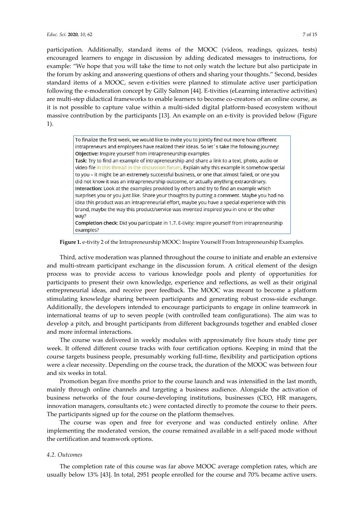participation. Additionally, standard items of the MOOC (videos, readings, quizzes, tests) encouraged learners to engage in discussion by adding dedicated messages to instructions, for example: "We hope that you will take the time to not only watch the lecture but also participate in the forum by asking and answering questions of others and sharing your thoughts." Second, besides standard items of a MOOC, seven e-tivities were planned to stimulate active user participation following the e-moderation concept by Gilly Salmon [44]. E-tivities (eLearning interactive activities) are multi-step didactical frameworks to enable learners to become co-creators of an online course, as it is not possible to capture value within a multi-sided digital platform-based ecosystem without massive contribution by the participants [13]. An example on an e-tivity is provided below (Figure 1).

> To finalize the first week, we would like to invite you to jointly find out more how different intrapreneurs and employees have realized their ideas. So let's take the following journey: Objective: Inspire yourself from intrapreneurship examples Task: Try to find an example of intrapreneurship and share a link to a text, photo, audio or video file in this thread in the discussion forum. Explain why this example is somehow special to you – it might be an extremely successful business, or one that almost failed, or one you did not know it was an intrapreneurship outcome, or actually anything extraordinary. Interaction: Look at the examples provided by others and try to find an example which surprises you or you just like. Share your thoughts by putting a comment. Maybe you had no idea this product was an intrapreneurial effort, maybe you have a special experience with this brand, maybe the way this product/service was invented inspired you in one or the other way? Completion check: Did you participate in 1.7. E-tivity: Inspire yourself from intrapreneurship examples?

Figure 1. e-tivity 2 of the Intrapreneurship MOOC: Inspire Yourself From Intrapreneurship Examples.

Third, active moderation was planned throughout the course to initiate and enable an extensive and multi-stream participant exchange in the discussion forum. A critical element of the design process was to provide access to various knowledge pools and plenty of opportunities for participants to present their own knowledge, experience and reflections, as well as their original entrepreneurial ideas, and receive peer feedback. The MOOC was meant to become a platform stimulating knowledge sharing between participants and generating robust cross-side exchange. Additionally, the developers intended to encourage participants to engage in online teamwork in international teams of up to seven people (with controlled team configurations). The aim was to develop a pitch, and brought participants from different backgrounds together and enabled closer and more informal interactions.

The course was delivered in weekly modules with approximately five hours study time per week. It offered different course tracks with four certification options. Keeping in mind that the course targets business people, presumably working full-time, flexibility and participation options were a clear necessity. Depending on the course track, the duration of the MOOC was between four and six weeks in total.

Promotion began five months prior to the course launch and was intensified in the last month, mainly through online channels and targeting a business audience. Alongside the activation of business networks of the four course-developing institutions, businesses (CEO, HR managers, innovation managers, consultants etc.) were contacted directly to promote the course to their peers. The participants signed up for the course on the platform themselves.

The course was open and free for everyone and was conducted entirely online. After implementing the moderated version, the course remained available in a self-paced mode without the certification and teamwork options.

#### 4.2. Outcomes

The completion rate of this course was far above MOOC average completion rates, which are usually below 13% [43]. In total, 2951 people enrolled for the course and 70% became active users.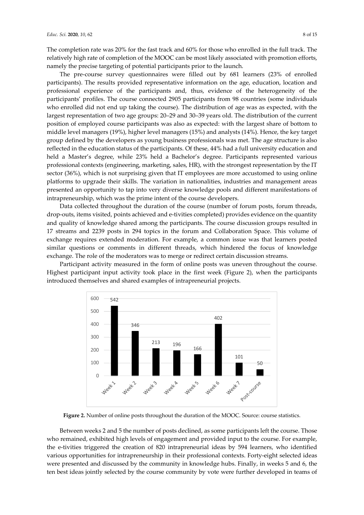The completion rate was 20% for the fast track and 60% for those who enrolled in the full track. The relatively high rate of completion of the MOOC can be most likely associated with promotion efforts, namely the precise targeting of potential participants prior to the launch.

The pre-course survey questionnaires were filled out by 681 learners (23% of enrolled participants). The results provided representative information on the age, education, location and professional experience of the participants and, thus, evidence of the heterogeneity of the participants' profiles. The course connected 2905 participants from 98 countries (some individuals who enrolled did not end up taking the course). The distribution of age was as expected, with the largest representation of two age groups: 20–29 and 30–39 years old. The distribution of the current position of employed course participants was also as expected: with the largest share of bottom to middle level managers (19%), higher level managers (15%) and analysts (14%). Hence, the key target group defined by the developers as young business professionals was met. The age structure is also reflected in the education status of the participants. Of these, 44% had a full university education and held a Master's degree, while 23% held a Bachelor's degree. Participants represented various professional contexts (engineering, marketing, sales, HR), with the strongest representation by the IT sector (36%), which is not surprising given that IT employees are more accustomed to using online platforms to upgrade their skills. The variation in nationalities, industries and management areas presented an opportunity to tap into very diverse knowledge pools and different manifestations of intrapreneurship, which was the prime intent of the course developers.

Data collected throughout the duration of the course (number of forum posts, forum threads, drop-outs, items visited, points achieved and e-tivities completed) provides evidence on the quantity and quality of knowledge shared among the participants. The course discussion groups resulted in 17 streams and 2239 posts in 294 topics in the forum and Collaboration Space. This volume of exchange requires extended moderation. For example, a common issue was that learners posted similar questions or comments in different threads, which hindered the focus of knowledge exchange. The role of the moderators was to merge or redirect certain discussion streams.

Participant activity measured in the form of online posts was uneven throughout the course. Highest participant input activity took place in the first week (Figure 2), when the participants introduced themselves and shared examples of intrapreneurial projects.



Figure 2. Number of online posts throughout the duration of the MOOC. Source: course statistics.

Between weeks 2 and 5 the number of posts declined, as some participants left the course. Those who remained, exhibited high levels of engagement and provided input to the course. For example, the e-tivities triggered the creation of 820 intrapreneurial ideas by 594 learners, who identified various opportunities for intrapreneurship in their professional contexts. Forty-eight selected ideas were presented and discussed by the community in knowledge hubs. Finally, in weeks 5 and 6, the ten best ideas jointly selected by the course community by vote were further developed in teams of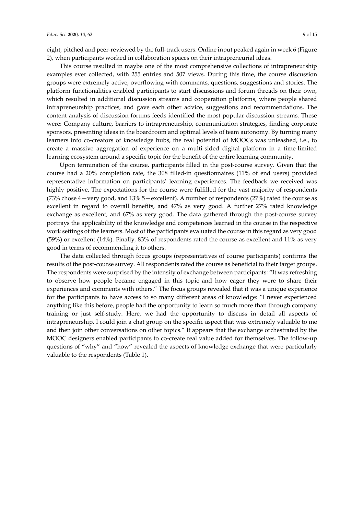eight, pitched and peer-reviewed by the full-track users. Online input peaked again in week 6 (Figure 2), when participants worked in collaboration spaces on their intrapreneurial ideas.

This course resulted in maybe one of the most comprehensive collections of intrapreneurship examples ever collected, with 255 entries and 507 views. During this time, the course discussion groups were extremely active, overflowing with comments, questions, suggestions and stories. The platform functionalities enabled participants to start discussions and forum threads on their own, which resulted in additional discussion streams and cooperation platforms, where people shared intrapreneurship practices, and gave each other advice, suggestions and recommendations. The content analysis of discussion forums feeds identified the most popular discussion streams. These were: Company culture, barriers to intrapreneurship, communication strategies, finding corporate sponsors, presenting ideas in the boardroom and optimal levels of team autonomy. By turning many learners into co-creators of knowledge hubs, the real potential of MOOCs was unleashed, i.e., to create a massive aggregation of experience on a multi-sided digital platform in a time-limited learning ecosystem around a specific topic for the benefit of the entire learning community.

Upon termination of the course, participants filled in the post-course survey. Given that the course had a 20% completion rate, the 308 filled-in questionnaires (11% of end users) provided representative information on participants' learning experiences. The feedback we received was highly positive. The expectations for the course were fulfilled for the vast majority of respondents (73% chose 4—very good, and 13% 5—excellent). A number of respondents (27%) rated the course as excellent in regard to overall benefits, and 47% as very good. A further 27% rated knowledge exchange as excellent, and 67% as very good. The data gathered through the post-course survey portrays the applicability of the knowledge and competences learned in the course in the respective work settings of the learners. Most of the participants evaluated the course in this regard as very good (59%) or excellent (14%). Finally, 83% of respondents rated the course as excellent and 11% as very good in terms of recommending it to others.

The data collected through focus groups (representatives of course participants) confirms the results of the post-course survey. All respondents rated the course as beneficial to their target groups. The respondents were surprised by the intensity of exchange between participants: "It was refreshing to observe how people became engaged in this topic and how eager they were to share their experiences and comments with others." The focus groups revealed that it was a unique experience for the participants to have access to so many different areas of knowledge: "I never experienced anything like this before, people had the opportunity to learn so much more than through company training or just self-study. Here, we had the opportunity to discuss in detail all aspects of intrapreneurship. I could join a chat group on the specific aspect that was extremely valuable to me and then join other conversations on other topics." It appears that the exchange orchestrated by the MOOC designers enabled participants to co-create real value added for themselves. The follow-up questions of "why" and "how" revealed the aspects of knowledge exchange that were particularly valuable to the respondents (Table 1).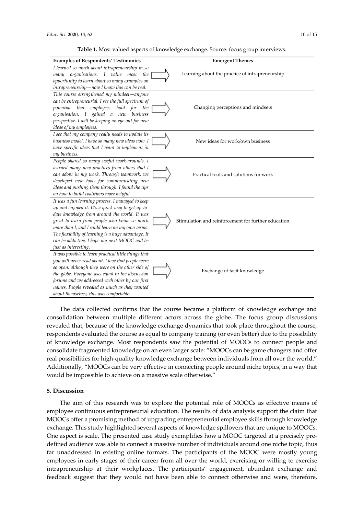Table 1. Most valued aspects of knowledge exchange. Source: focus group interviews.

| <b>Examples of Respondents' Testimonies</b>                                                                                                                                                                                                                                                                                                                                             | <b>Emergent Themes</b>                              |
|-----------------------------------------------------------------------------------------------------------------------------------------------------------------------------------------------------------------------------------------------------------------------------------------------------------------------------------------------------------------------------------------|-----------------------------------------------------|
| I learned so much about intrapreneurship in so<br>organisations. I value most<br>the<br>many<br>opportunity to learn about so many examples on<br>intrapreneurship-now I know this can be real.                                                                                                                                                                                         | Learning about the practice of intrapreneurship     |
| This course strengthened my mindset-anyone<br>can be entrepreneurial. I see the full spectrum of<br>that<br>employees<br>hold<br>for<br>potential<br>the<br>organisation. I gained a new<br>business<br>perspective. I will be keeping an eye out for new<br>ideas of my employees.                                                                                                     | Changing perceptions and mindsets                   |
| I see that my company really needs to update its<br>business model. I have so many new ideas now. I<br>have specific ideas that I want to implement in<br>my business.                                                                                                                                                                                                                  | New ideas for work/own business                     |
| People shared so many useful work-arounds. I<br>learned many new practices from others that I<br>can adopt in my work. Through teamwork, we<br>developed new tools for communicating new<br>ideas and pushing them through. I found the tips<br>on how to build coalitions more helpful.                                                                                                | Practical tools and solutions for work              |
| It was a fun learning process. I managed to keep<br>up and enjoyed it. It's a quick way to get up-to-<br>date knowledge from around the world. It was<br>great to learn from people who know so much<br>more than I, and I could learn on my own terms.<br>The flexibility of learning is a huge advantage. It<br>can be addictive, I hope my next MOOC will be<br>just as interesting. | Stimulation and reinforcement for further education |
| It was possible to learn practical little things that<br>you will never read about. I love that people were<br>so open, although they were on the other side of<br>the globe. Everyone was equal in the discussion<br>forums and we addressed each other by our first<br>names. People revealed as much as they wanted<br>about themselves, this was comfortable.                       | Exchange of tacit knowledge                         |

The data collected confirms that the course became a platform of knowledge exchange and consolidation between multiple different actors across the globe. The focus group discussions revealed that, because of the knowledge exchange dynamics that took place throughout the course, respondents evaluated the course as equal to company training (or even better) due to the possibility of knowledge exchange. Most respondents saw the potential of MOOCs to connect people and consolidate fragmented knowledge on an even larger scale: "MOOCs can be game changers and offer real possibilities for high-quality knowledge exchange between individuals from all over the world." Additionally, "MOOCs can be very effective in connecting people around niche topics, in a way that would be impossible to achieve on a massive scale otherwise."

# 5. Discussion

The aim of this research was to explore the potential role of MOOCs as effective means of employee continuous entrepreneurial education. The results of data analysis support the claim that MOOCs offer a promising method of upgrading entrepreneurial employee skills through knowledge exchange. This study highlighted several aspects of knowledge spillovers that are unique to MOOCs. One aspect is scale. The presented case study exemplifies how a MOOC targeted at a precisely predefined audience was able to connect a massive number of individuals around one niche topic, thus far unaddressed in existing online formats. The participants of the MOOC were mostly young employees in early stages of their career from all over the world, exercising or willing to exercise intrapreneurship at their workplaces. The participants' engagement, abundant exchange and feedback suggest that they would not have been able to connect otherwise and were, therefore,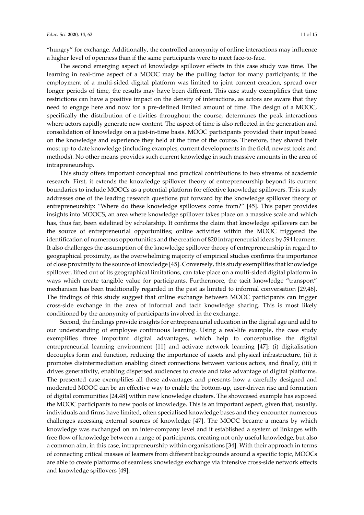"hungry" for exchange. Additionally, the controlled anonymity of online interactions may influence a higher level of openness than if the same participants were to meet face-to-face.

The second emerging aspect of knowledge spillover effects in this case study was time. The learning in real-time aspect of a MOOC may be the pulling factor for many participants; if the employment of a multi-sided digital platform was limited to joint content creation, spread over longer periods of time, the results may have been different. This case study exemplifies that time restrictions can have a positive impact on the density of interactions, as actors are aware that they need to engage here and now for a pre-defined limited amount of time. The design of a MOOC, specifically the distribution of e-tivities throughout the course, determines the peak interactions where actors rapidly generate new content. The aspect of time is also reflected in the generation and consolidation of knowledge on a just-in-time basis. MOOC participants provided their input based on the knowledge and experience they held at the time of the course. Therefore, they shared their most up-to-date knowledge (including examples, current developments in the field, newest tools and methods). No other means provides such current knowledge in such massive amounts in the area of intrapreneurship.

This study offers important conceptual and practical contributions to two streams of academic research. First, it extends the knowledge spillover theory of entrepreneurship beyond its current boundaries to include MOOCs as a potential platform for effective knowledge spillovers. This study addresses one of the leading research questions put forward by the knowledge spillover theory of entrepreneurship: "Where do these knowledge spillovers come from?" [45]. This paper provides insights into MOOCS, an area where knowledge spillover takes place on a massive scale and which has, thus far, been sidelined by scholarship. It confirms the claim that knowledge spillovers can be the source of entrepreneurial opportunities; online activities within the MOOC triggered the identification of numerous opportunities and the creation of 820 intrapreneurial ideas by 594 learners. It also challenges the assumption of the knowledge spillover theory of entrepreneurship in regard to geographical proximity, as the overwhelming majority of empirical studies confirms the importance of close proximity to the source of knowledge [45]. Conversely, this study exemplifies that knowledge spillover, lifted out of its geographical limitations, can take place on a multi-sided digital platform in ways which create tangible value for participants. Furthermore, the tacit knowledge "transport" mechanism has been traditionally regarded in the past as limited to informal conversation [29,46]. The findings of this study suggest that online exchange between MOOC participants can trigger cross-side exchange in the area of informal and tacit knowledge sharing. This is most likely conditioned by the anonymity of participants involved in the exchange.

Second, the findings provide insights for entrepreneurial education in the digital age and add to our understanding of employee continuous learning. Using a real-life example, the case study exemplifies three important digital advantages, which help to conceptualise the digital entrepreneurial learning environment [11] and activate network learning [47]: (i) digitalisation decouples form and function, reducing the importance of assets and physical infrastructure, (ii) it promotes disintermediation enabling direct connections between various actors, and finally, (iii) it drives generativity, enabling dispersed audiences to create and take advantage of digital platforms. The presented case exemplifies all these advantages and presents how a carefully designed and moderated MOOC can be an effective way to enable the bottom-up, user-driven rise and formation of digital communities [24,48] within new knowledge clusters. The showcased example has exposed the MOOC participants to new pools of knowledge. This is an important aspect, given that, usually, individuals and firms have limited, often specialised knowledge bases and they encounter numerous challenges accessing external sources of knowledge [47]. The MOOC became a means by which knowledge was exchanged on an inter-company level and it established a system of linkages with free flow of knowledge between a range of participants, creating not only useful knowledge, but also a common aim, in this case, intrapreneurship within organisations [34]. With their approach in terms of connecting critical masses of learners from different backgrounds around a specific topic, MOOCs are able to create platforms of seamless knowledge exchange via intensive cross-side network effects and knowledge spillovers [49].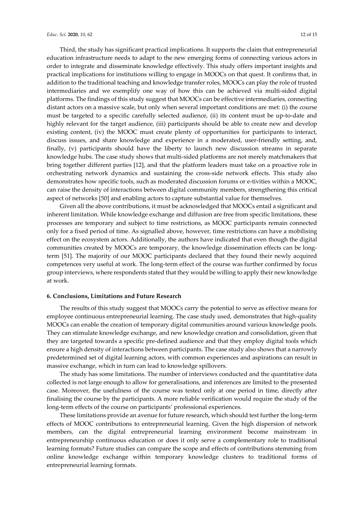Third, the study has significant practical implications. It supports the claim that entrepreneurial education infrastructure needs to adapt to the new emerging forms of connecting various actors in order to integrate and disseminate knowledge effectively. This study offers important insights and practical implications for institutions willing to engage in MOOCs on that quest. It confirms that, in addition to the traditional teaching and knowledge transfer roles, MOOCs can play the role of trusted intermediaries and we exemplify one way of how this can be achieved via multi-sided digital platforms. The findings of this study suggest that MOOCs can be effective intermediaries, connecting distant actors on a massive scale, but only when several important conditions are met: (i) the course must be targeted to a specific carefully selected audience, (ii) its content must be up-to-date and highly relevant for the target audience, (iii) participants should be able to create new and develop existing content, (iv) the MOOC must create plenty of opportunities for participants to interact, discuss issues, and share knowledge and experience in a moderated, user-friendly setting, and, finally, (v) participants should have the liberty to launch new discussion streams in separate knowledge hubs. The case study shows that multi-sided platforms are not merely matchmakers that bring together different parties [12], and that the platform leaders must take on a proactive role in orchestrating network dynamics and sustaining the cross-side network effects. This study also demonstrates how specific tools, such as moderated discussion forums or e-tivities within a MOOC, can raise the density of interactions between digital community members, strengthening this critical aspect of networks [50] and enabling actors to capture substantial value for themselves.

Given all the above contributions, it must be acknowledged that MOOCs entail a significant and inherent limitation. While knowledge exchange and diffusion are free from specific limitations, these processes are temporary and subject to time restrictions, as MOOC participants remain connected only for a fixed period of time. As signalled above, however, time restrictions can have a mobilising effect on the ecosystem actors. Additionally, the authors have indicated that even though the digital communities created by MOOCs are temporary, the knowledge dissemination effects can be longterm [51]. The majority of our MOOC participants declared that they found their newly acquired competences very useful at work. The long-term effect of the course was further confirmed by focus group interviews, where respondents stated that they would be willing to apply their new knowledge at work.

## 6. Conclusions, Limitations and Future Research

The results of this study suggest that MOOCs carry the potential to serve as effective means for employee continuous entrepreneurial learning. The case study used, demonstrates that high-quality MOOCs can enable the creation of temporary digital communities around various knowledge pools. They can stimulate knowledge exchange, and new knowledge creation and consolidation, given that they are targeted towards a specific pre-defined audience and that they employ digital tools which ensure a high density of interactions between participants. The case study also shows that a narrowly predetermined set of digital learning actors, with common experiences and aspirations can result in massive exchange, which in turn can lead to knowledge spillovers.

The study has some limitations. The number of interviews conducted and the quantitative data collected is not large enough to allow for generalisations, and inferences are limited to the presented case. Moreover, the usefulness of the course was tested only at one period in time, directly after finalising the course by the participants. A more reliable verification would require the study of the long-term effects of the course on participants' professional experiences.

These limitations provide an avenue for future research, which should test further the long-term effects of MOOC contributions to entrepreneurial learning. Given the high dispersion of network members, can the digital entrepreneurial learning environment become mainstream in entrepreneurship continuous education or does it only serve a complementary role to traditional learning formats? Future studies can compare the scope and effects of contributions stemming from online knowledge exchange within temporary knowledge clusters to traditional forms of entrepreneurial learning formats.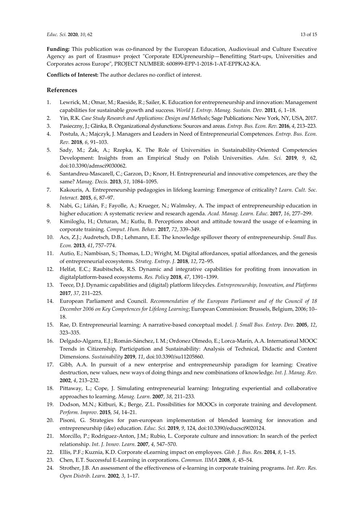Funding: This publication was co-financed by the European Education, Audiovisual and Culture Executive Agency as part of Erasmus+ project "Corporate EDUpreneurship—Benefitting Start-ups, Universities and Corporates across Europe", PROJECT NUMBER: 600899-EPP-1-2018-1-AT-EPPKA2-KA.

Conflicts of Interest: The author declares no conflict of interest.

# References

- 1. Lewrick, M.; Omar, M.; Raeside, R.; Sailer, K. Education for entrepreneurship and innovation: Management capabilities for sustainable growth and success. World J. Entrep. Manag. Sustain. Dev. 2011, 6, 1–18.
- 2. Yin, R.K. Case Study Research and Applications: Design and Methods; Sage Publications: New York, NY, USA, 2017.
- 3. Pasieczny, J.; Glinka, B. Organizational dysfunctions: Sources and areas. Entrep. Bus. Econ. Rev. 2016, 4, 213–223.
- 4. Postuła, A.; Majczyk, J. Managers and Leaders in Need of Entrepreneurial Competences. Entrep. Bus. Econ. Rev. 2018, 6, 91–103.
- 5. Sady, M.; Żak, A.; Rzepka, K. The Role of Universities in Sustainability-Oriented Competencies Development: Insights from an Empirical Study on Polish Universities. Adm. Sci. 2019, 9, 62, doi:10.3390/admsci9030062.
- 6. Santandreu-Mascarell, C.; Garzon, D.; Knorr, H. Entrepreneurial and innovative competences, are they the same? Manag. Decis. 2013, 51, 1084–1095.
- 7. Kakouris, A. Entrepreneurship pedagogies in lifelong learning: Emergence of criticality? Learn. Cult. Soc. Interact. 2015, 6, 87–97.
- 8. Nabi, G.; Liñán, F.; Fayolle, A.; Krueger, N.; Walmsley, A. The impact of entrepreneurship education in higher education: A systematic review and research agenda. Acad. Manag. Learn. Educ. 2017, 16, 277–299.
- 9. Kimiloglu, H.; Ozturan, M.; Kutlu, B. Perceptions about and attitude toward the usage of e-learning in corporate training. Comput. Hum. Behav. 2017, 72, 339–349.
- 10. Acs, Z.J.; Audretsch, D.B.; Lehmann, E.E. The knowledge spillover theory of entrepreneurship. Small Bus. Econ. 2013, 41, 757–774.
- 11. Autio, E.; Nambisan, S.; Thomas, L.D.; Wright, M. Digital affordances, spatial affordances, and the genesis of entrepreneurial ecosystems. Strateg. Entrep. J. 2018, 12, 72–95.
- 12. Helfat, E.C.; Raubitschek, R.S. Dynamic and integrative capabilities for profiting from innovation in digitalplatform-based ecosystems. Res. Policy 2018, 47, 1391–1399.
- 13. Teece, D.J. Dynamic capabilities and (digital) platform lifecycles. Entrepreneurship, Innovation, and Platforms 2017, 37, 211–225.
- 14. European Parliament and Council. Recommendation of the European Parliament and of the Council of 18 December 2006 on Key Competences for Lifelong Learning; European Commission: Brussels, Belgium, 2006; 10– 18.
- 15. Rae, D. Entrepreneurial learning: A narrative-based conceptual model. J. Small Bus. Enterp. Dev. 2005, 12, 323–335.
- 16. Delgado-Algarra, E.J.; Román-Sánchez, I. M.; Ordonez Olmedo, E.; Lorca-Marín, A.A. International MOOC Trends in Citizenship, Participation and Sustainability: Analysis of Technical, Didactic and Content Dimensions. Sustainability 2019, 11, doi:10.3390/su11205860.
- 17. Gibb, A.A. In pursuit of a new enterprise and entrepreneurship paradigm for learning: Creative destruction, new values, new ways of doing things and new combinations of knowledge. Int. J. Manag. Rev. 2002, 4, 213–232.
- 18. Pittaway, L.; Cope, J. Simulating entrepreneurial learning: Integrating experiential and collaborative approaches to learning. Manag. Learn. 2007, 38, 211–233.
- 19. Dodson, M.N.; Kitburi, K.; Berge, Z.L. Possibilities for MOOCs in corporate training and development. Perform. Improv. 2015, 54, 14–21.
- 20. Pisoni, G. Strategies for pan-european implementation of blended learning for innovation and entrepreneurship (i&e) education. Educ. Sci. 2019, 9, 124, doi:10.3390/educsci9020124.
- 21. Morcillo, P.; Rodriguez-Anton, J.M.; Rubio, L. Corporate culture and innovation: In search of the perfect relationship. Int. J. Innov. Learn. 2007, 4, 547–570.
- 22. Ellis, P.F.; Kuznia, K.D. Corporate eLearning impact on employees. Glob. J. Bus. Res. 2014, 8, 1–15.
- 23. Chen, E.T. Successful E-Learning in corporations. Commun. IIMA 2008, 8, 45–54.
- 24. Strother, J.B. An assessment of the effectiveness of e-learning in corporate training programs. Int. Rev. Res. Open Distrib. Learn. 2002, 3, 1–17.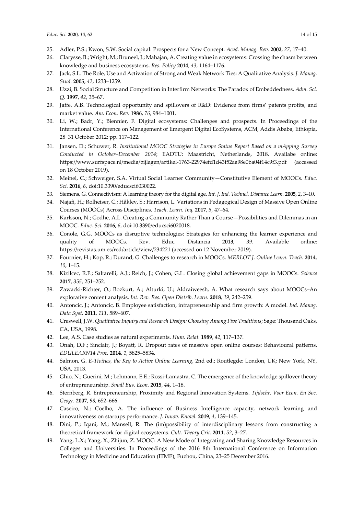- 25. Adler, P.S.; Kwon, S.W. Social capital: Prospects for a New Concept. Acad. Manag. Rev. 2002, 27, 17–40.
- 26. Clarysse, B.; Wright, M.; Bruneel, J.; Mahajan, A. Creating value in ecosystems: Crossing the chasm between knowledge and business ecosystems. Res. Policy 2014, 43, 1164–1176.
- 27. Jack, S.L. The Role, Use and Activation of Strong and Weak Network Ties: A Qualitative Analysis. J. Manag. Stud. 2005, 42, 1233–1259.
- 28. Uzzi, B. Social Structure and Competition in Interfirm Networks: The Paradox of Embeddedness. Adm. Sci. Q. 1997, 42, 35–67.
- 29. Jaffe, A.B. Technological opportunity and spillovers of R&D: Evidence from firms' patents profits, and market value. Am. Econ. Rev. 1986, 76, 984–1001.
- 30. Li, W.; Badr, Y.; Biennier, F. Digital ecosystems: Challenges and prospects. In Proceedings of the International Conference on Management of Emergent Digital EcoSystems, ACM, Addis Ababa, Ethiopia, 28–31 October 2012; pp. 117–122.
- 31. Jansen, D.; Schuwer, R. Institutional MOOC Strategies in Europe Status Report Based on a mApping Survey Conducted in October–December 2014; EADTU: Maastricht, Netherlands, 2018. Availabe online: https://www.surfspace.nl/media/bijlagen/artikel-1763-22974efd1d43f52aa98e0ba04f14c9f3.pdf (accessed on 18 October 2019).
- 32. Meinel, C.; Schweiger, S.A. Virtual Social Learner Community—Constitutive Element of MOOCs. Educ. Sci. 2016, 6, doi:10.3390/educsci6030022.
- 33. Siemens, G. Connectivism: A learning theory for the digital age. Int. J. Ind. Technol. Distance Learn. 2005, 2, 3–10.
- 34. Najafi, H.; Rolheiser, C.; Håklev, S.; Harrison, L. Variations in Pedagogical Design of Massive Open Online Courses (MOOCs) Across Disciplines. Teach. Learn. Inq. 2017, 5, 47–64.
- 35. Karlsson, N.; Godhe, A.L. Creating a Community Rather Than a Course—Possibilities and Dilemmas in an MOOC. Educ. Sci. 2016, 6, doi:10.3390/educsci6020018.
- 36. Conole, G.G. MOOCs as disruptive technologies: Strategies for enhancing the learner experience and quality of MOOCs. Rev. Educ. Distancia 2013, 39. Available online: https://revistas.um.es/red/article/view/234221 (accessed on 12 November 2019).
- 37. Fournier, H.; Kop, R.; Durand, G. Challenges to research in MOOCs. MERLOT J. Online Learn. Teach. 2014, 10, 1–15.
- 38. Kizilcec, R.F.; Saltarelli, A.J.; Reich, J.; Cohen, G.L. Closing global achievement gaps in MOOCs. Science 2017, 355, 251–252.
- 39. Zawacki-Richter, O.; Bozkurt, A.; Alturki, U.; Aldraiweesh, A. What research says about MOOCs–An explorative content analysis. Int. Rev. Res. Open Distrib. Learn. 2018, 19, 242–259.
- 40. Antoncic, J.; Antoncic, B. Employee satisfaction, intrapreneurship and firm growth: A model. Ind. Manag. Data Syst. 2011, 111, 589–607.
- 41. Creswell, J.W. Qualitative Inquiry and Research Design: Choosing Among Five Traditions; Sage: Thousand Oaks, CA, USA, 1998.
- 42. Lee, A.S. Case studies as natural experiments. Hum. Relat. 1989, 42, 117–137.
- 43. Onah, D.F.; Sinclair, J.; Boyatt, R. Dropout rates of massive open online courses: Behavioural patterns. EDULEARN14 Proc. 2014, 1, 5825–5834.
- 44. Salmon, G. E-Tivities, the Key to Active Online Learning, 2nd ed.; Routlegde: London, UK; New York, NY, USA, 2013.
- 45. Ghio, N.; Guerini, M.; Lehmann, E.E.; Rossi-Lamastra, C. The emergence of the knowledge spillover theory of entrepreneurship. Small Bus. Econ. 2015, 44, 1–18.
- 46. Sternberg, R. Entrepreneurship, Proximity and Regional Innovation Systems. Tijdschr. Voor Econ. En Soc. Geogr. 2007, 98, 652-666.
- 47. Caseiro, N.; Coelho, A. The influence of Business Intelligence capacity, network learning and innovativeness on startups performance. J. Innov. Knowl. 2019, 4, 139–145.
- 48. Dini, P.; Iqani, M.; Mansell, R. The (im)possibility of interdisciplinary lessons from constructing a theoretical framework for digital ecosystems. Cult. Theory Crit. 2011, 52, 3–27.
- 49. Yang, L.X.; Yang, X.; Zhijun, Z. MOOC: A New Mode of Integrating and Sharing Knowledge Resources in Colleges and Universities. In Proceedings of the 2016 8th International Conference on Information Technology in Medicine and Education (ITME), Fuzhou, China, 23–25 December 2016.